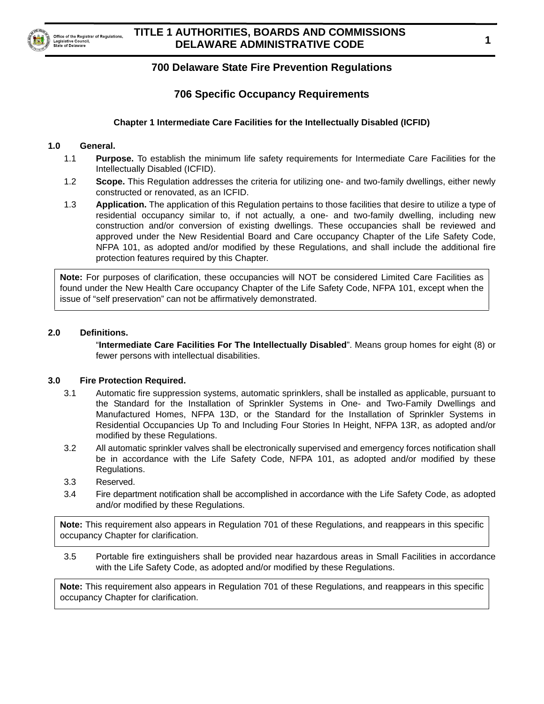

Legislative Council tate of Delaware

# **700 Delaware State Fire Prevention Regulations**

# **706 Specific Occupancy Requirements**

### **Chapter 1 Intermediate Care Facilities for the Intellectually Disabled (ICFID)**

#### **1.0 General.**

- 1.1 **Purpose.** To establish the minimum life safety requirements for Intermediate Care Facilities for the Intellectually Disabled (ICFID).
- 1.2 **Scope.** This Regulation addresses the criteria for utilizing one- and two-family dwellings, either newly constructed or renovated, as an ICFID.
- 1.3 **Application.** The application of this Regulation pertains to those facilities that desire to utilize a type of residential occupancy similar to, if not actually, a one- and two-family dwelling, including new construction and/or conversion of existing dwellings. These occupancies shall be reviewed and approved under the New Residential Board and Care occupancy Chapter of the Life Safety Code, NFPA 101, as adopted and/or modified by these Regulations, and shall include the additional fire protection features required by this Chapter.

**Note:** For purposes of clarification, these occupancies will NOT be considered Limited Care Facilities as found under the New Health Care occupancy Chapter of the Life Safety Code, NFPA 101, except when the issue of "self preservation" can not be affirmatively demonstrated.

#### **2.0 Definitions.**

"**Intermediate Care Facilities For The Intellectually Disabled**". Means group homes for eight (8) or fewer persons with intellectual disabilities.

#### **3.0 Fire Protection Required.**

- 3.1 Automatic fire suppression systems, automatic sprinklers, shall be installed as applicable, pursuant to the Standard for the Installation of Sprinkler Systems in One- and Two-Family Dwellings and Manufactured Homes, NFPA 13D, or the Standard for the Installation of Sprinkler Systems in Residential Occupancies Up To and Including Four Stories In Height, NFPA 13R, as adopted and/or modified by these Regulations.
- 3.2 All automatic sprinkler valves shall be electronically supervised and emergency forces notification shall be in accordance with the Life Safety Code, NFPA 101, as adopted and/or modified by these Regulations.
- 3.3 Reserved.
- 3.4 Fire department notification shall be accomplished in accordance with the Life Safety Code, as adopted and/or modified by these Regulations.

**Note:** This requirement also appears in Regulation 701 of these Regulations, and reappears in this specific occupancy Chapter for clarification.

3.5 Portable fire extinguishers shall be provided near hazardous areas in Small Facilities in accordance with the Life Safety Code, as adopted and/or modified by these Regulations.

**Note:** This requirement also appears in Regulation 701 of these Regulations, and reappears in this specific occupancy Chapter for clarification.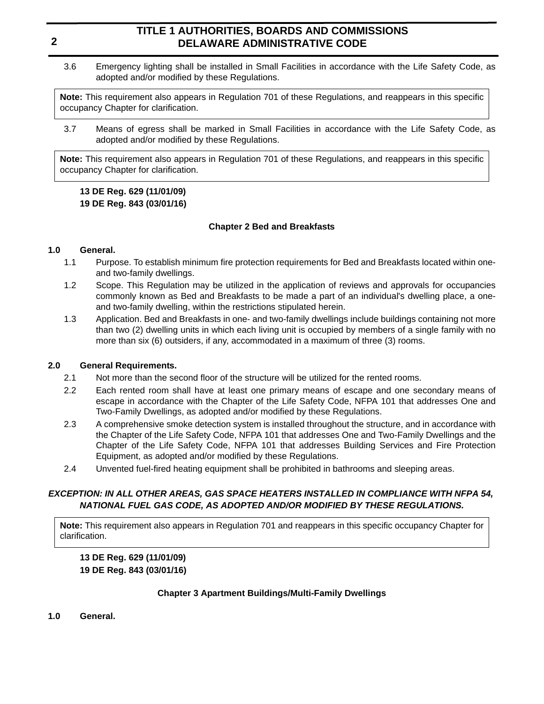3.6 Emergency lighting shall be installed in Small Facilities in accordance with the Life Safety Code, as adopted and/or modified by these Regulations.

**Note:** This requirement also appears in Regulation 701 of these Regulations, and reappears in this specific occupancy Chapter for clarification.

3.7 Means of egress shall be marked in Small Facilities in accordance with the Life Safety Code, as adopted and/or modified by these Regulations.

**Note:** This requirement also appears in Regulation 701 of these Regulations, and reappears in this specific occupancy Chapter for clarification.

### **13 DE Reg. 629 (11/01/09) 19 DE Reg. 843 (03/01/16)**

#### **Chapter 2 Bed and Breakfasts**

#### **1.0 General.**

- 1.1 Purpose. To establish minimum fire protection requirements for Bed and Breakfasts located within oneand two-family dwellings.
- 1.2 Scope. This Regulation may be utilized in the application of reviews and approvals for occupancies commonly known as Bed and Breakfasts to be made a part of an individual's dwelling place, a oneand two-family dwelling, within the restrictions stipulated herein.
- 1.3 Application. Bed and Breakfasts in one- and two-family dwellings include buildings containing not more than two (2) dwelling units in which each living unit is occupied by members of a single family with no more than six (6) outsiders, if any, accommodated in a maximum of three (3) rooms.

### **2.0 General Requirements.**

- 2.1 Not more than the second floor of the structure will be utilized for the rented rooms.
- 2.2 Each rented room shall have at least one primary means of escape and one secondary means of escape in accordance with the Chapter of the Life Safety Code, NFPA 101 that addresses One and Two-Family Dwellings, as adopted and/or modified by these Regulations.
- 2.3 A comprehensive smoke detection system is installed throughout the structure, and in accordance with the Chapter of the Life Safety Code, NFPA 101 that addresses One and Two-Family Dwellings and the Chapter of the Life Safety Code, NFPA 101 that addresses Building Services and Fire Protection Equipment, as adopted and/or modified by these Regulations.
- 2.4 Unvented fuel-fired heating equipment shall be prohibited in bathrooms and sleeping areas.

### *EXCEPTION: IN ALL OTHER AREAS, GAS SPACE HEATERS INSTALLED IN COMPLIANCE WITH NFPA 54, NATIONAL FUEL GAS CODE, AS ADOPTED AND/OR MODIFIED BY THESE REGULATIONS.*

**Note:** This requirement also appears in Regulation 701 and reappears in this specific occupancy Chapter for clarification.

**13 DE Reg. 629 (11/01/09) 19 DE Reg. 843 (03/01/16)**

### **Chapter 3 Apartment Buildings/Multi-Family Dwellings**

**1.0 General.**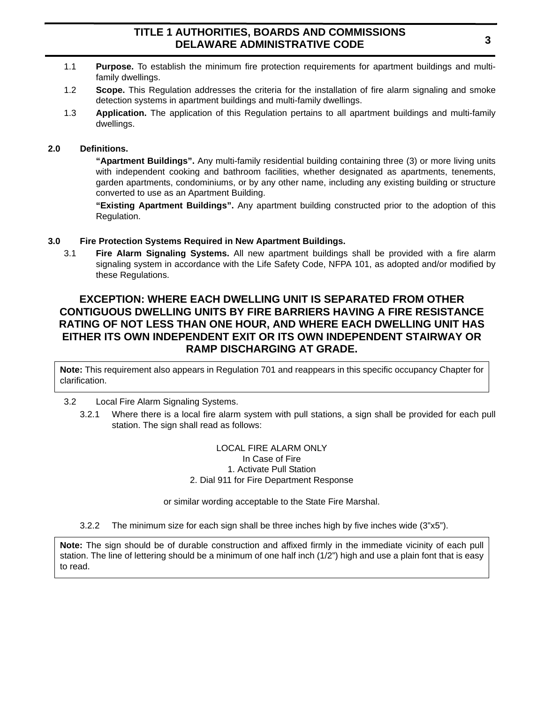- 1.1 **Purpose.** To establish the minimum fire protection requirements for apartment buildings and multifamily dwellings.
- 1.2 **Scope.** This Regulation addresses the criteria for the installation of fire alarm signaling and smoke detection systems in apartment buildings and multi-family dwellings.
- 1.3 **Application.** The application of this Regulation pertains to all apartment buildings and multi-family dwellings.

#### **2.0 Definitions.**

**"Apartment Buildings".** Any multi-family residential building containing three (3) or more living units with independent cooking and bathroom facilities, whether designated as apartments, tenements, garden apartments, condominiums, or by any other name, including any existing building or structure converted to use as an Apartment Building.

**"Existing Apartment Buildings".** Any apartment building constructed prior to the adoption of this Regulation.

#### **3.0 Fire Protection Systems Required in New Apartment Buildings.**

3.1 **Fire Alarm Signaling Systems.** All new apartment buildings shall be provided with a fire alarm signaling system in accordance with the Life Safety Code, NFPA 101, as adopted and/or modified by these Regulations.

# **EXCEPTION: WHERE EACH DWELLING UNIT IS SEPARATED FROM OTHER CONTIGUOUS DWELLING UNITS BY FIRE BARRIERS HAVING A FIRE RESISTANCE RATING OF NOT LESS THAN ONE HOUR, AND WHERE EACH DWELLING UNIT HAS EITHER ITS OWN INDEPENDENT EXIT OR ITS OWN INDEPENDENT STAIRWAY OR RAMP DISCHARGING AT GRADE.**

**Note:** This requirement also appears in Regulation 701 and reappears in this specific occupancy Chapter for clarification.

#### 3.2 Local Fire Alarm Signaling Systems.

3.2.1 Where there is a local fire alarm system with pull stations, a sign shall be provided for each pull station. The sign shall read as follows:

> LOCAL FIRE ALARM ONLY In Case of Fire 1. Activate Pull Station 2. Dial 911 for Fire Department Response

or similar wording acceptable to the State Fire Marshal.

3.2.2 The minimum size for each sign shall be three inches high by five inches wide (3"x5").

**Note:** The sign should be of durable construction and affixed firmly in the immediate vicinity of each pull station. The line of lettering should be a minimum of one half inch (1/2") high and use a plain font that is easy to read.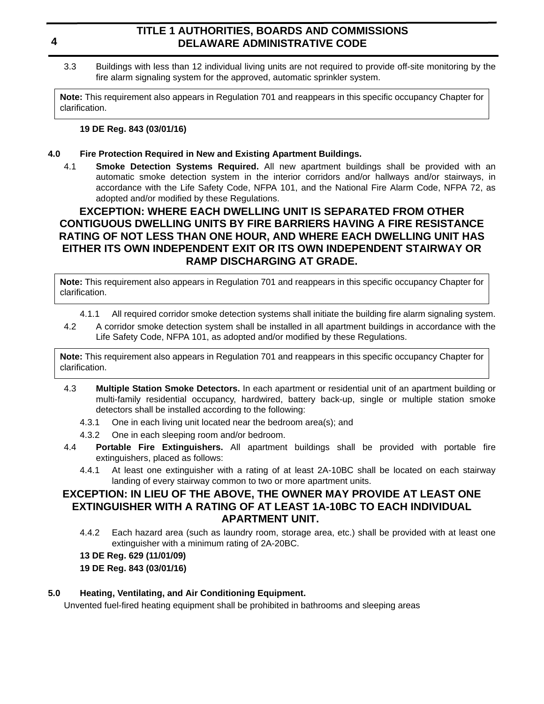3.3 Buildings with less than 12 individual living units are not required to provide off-site monitoring by the fire alarm signaling system for the approved, automatic sprinkler system.

**Note:** This requirement also appears in Regulation 701 and reappears in this specific occupancy Chapter for clarification.

### **19 DE Reg. 843 (03/01/16)**

### **4.0 Fire Protection Required in New and Existing Apartment Buildings.**

4.1 **Smoke Detection Systems Required.** All new apartment buildings shall be provided with an automatic smoke detection system in the interior corridors and/or hallways and/or stairways, in accordance with the Life Safety Code, NFPA 101, and the National Fire Alarm Code, NFPA 72, as adopted and/or modified by these Regulations.

# **EXCEPTION: WHERE EACH DWELLING UNIT IS SEPARATED FROM OTHER CONTIGUOUS DWELLING UNITS BY FIRE BARRIERS HAVING A FIRE RESISTANCE RATING OF NOT LESS THAN ONE HOUR, AND WHERE EACH DWELLING UNIT HAS EITHER ITS OWN INDEPENDENT EXIT OR ITS OWN INDEPENDENT STAIRWAY OR RAMP DISCHARGING AT GRADE.**

**Note:** This requirement also appears in Regulation 701 and reappears in this specific occupancy Chapter for clarification.

- 4.1.1 All required corridor smoke detection systems shall initiate the building fire alarm signaling system.
- 4.2 A corridor smoke detection system shall be installed in all apartment buildings in accordance with the Life Safety Code, NFPA 101, as adopted and/or modified by these Regulations.

**Note:** This requirement also appears in Regulation 701 and reappears in this specific occupancy Chapter for clarification.

- 4.3 **Multiple Station Smoke Detectors.** In each apartment or residential unit of an apartment building or multi-family residential occupancy, hardwired, battery back-up, single or multiple station smoke detectors shall be installed according to the following:
	- 4.3.1 One in each living unit located near the bedroom area(s); and
	- 4.3.2 One in each sleeping room and/or bedroom.
- 4.4 **Portable Fire Extinguishers.** All apartment buildings shall be provided with portable fire extinguishers, placed as follows:
	- 4.4.1 At least one extinguisher with a rating of at least 2A-10BC shall be located on each stairway landing of every stairway common to two or more apartment units.

# **EXCEPTION: IN LIEU OF THE ABOVE, THE OWNER MAY PROVIDE AT LEAST ONE EXTINGUISHER WITH A RATING OF AT LEAST 1A-10BC TO EACH INDIVIDUAL APARTMENT UNIT.**

4.4.2 Each hazard area (such as laundry room, storage area, etc.) shall be provided with at least one extinguisher with a minimum rating of 2A-20BC.

### **13 DE Reg. 629 (11/01/09)**

### **19 DE Reg. 843 (03/01/16)**

### **5.0 Heating, Ventilating, and Air Conditioning Equipment.**

Unvented fuel-fired heating equipment shall be prohibited in bathrooms and sleeping areas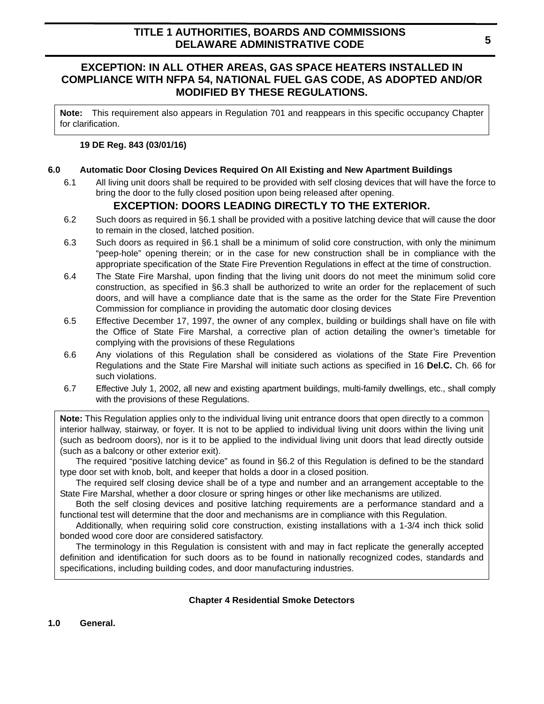## **EXCEPTION: IN ALL OTHER AREAS, GAS SPACE HEATERS INSTALLED IN COMPLIANCE WITH NFPA 54, NATIONAL FUEL GAS CODE, AS ADOPTED AND/OR MODIFIED BY THESE REGULATIONS.**

**Note:** This requirement also appears in Regulation 701 and reappears in this specific occupancy Chapter for clarification.

### **19 DE Reg. 843 (03/01/16)**

#### **6.0 Automatic Door Closing Devices Required On All Existing and New Apartment Buildings**

6.1 All living unit doors shall be required to be provided with self closing devices that will have the force to bring the door to the fully closed position upon being released after opening.

## **EXCEPTION: DOORS LEADING DIRECTLY TO THE EXTERIOR.**

- 6.2 Such doors as required in §6.1 shall be provided with a positive latching device that will cause the door to remain in the closed, latched position.
- 6.3 Such doors as required in §6.1 shall be a minimum of solid core construction, with only the minimum "peep-hole" opening therein; or in the case for new construction shall be in compliance with the appropriate specification of the State Fire Prevention Regulations in effect at the time of construction.
- 6.4 The State Fire Marshal, upon finding that the living unit doors do not meet the minimum solid core construction, as specified in §6.3 shall be authorized to write an order for the replacement of such doors, and will have a compliance date that is the same as the order for the State Fire Prevention Commission for compliance in providing the automatic door closing devices
- 6.5 Effective December 17, 1997, the owner of any complex, building or buildings shall have on file with the Office of State Fire Marshal, a corrective plan of action detailing the owner's timetable for complying with the provisions of these Regulations
- 6.6 Any violations of this Regulation shall be considered as violations of the State Fire Prevention Regulations and the State Fire Marshal will initiate such actions as specified in 16 **Del.C.** Ch. 66 for such violations.
- 6.7 Effective July 1, 2002, all new and existing apartment buildings, multi-family dwellings, etc., shall comply with the provisions of these Regulations.

**Note:** This Regulation applies only to the individual living unit entrance doors that open directly to a common interior hallway, stairway, or foyer. It is not to be applied to individual living unit doors within the living unit (such as bedroom doors), nor is it to be applied to the individual living unit doors that lead directly outside (such as a balcony or other exterior exit).

The required "positive latching device" as found in §6.2 of this Regulation is defined to be the standard type door set with knob, bolt, and keeper that holds a door in a closed position.

The required self closing device shall be of a type and number and an arrangement acceptable to the State Fire Marshal, whether a door closure or spring hinges or other like mechanisms are utilized.

Both the self closing devices and positive latching requirements are a performance standard and a functional test will determine that the door and mechanisms are in compliance with this Regulation.

Additionally, when requiring solid core construction, existing installations with a 1-3/4 inch thick solid bonded wood core door are considered satisfactory.

The terminology in this Regulation is consistent with and may in fact replicate the generally accepted definition and identification for such doors as to be found in nationally recognized codes, standards and specifications, including building codes, and door manufacturing industries.

#### **Chapter 4 Residential Smoke Detectors**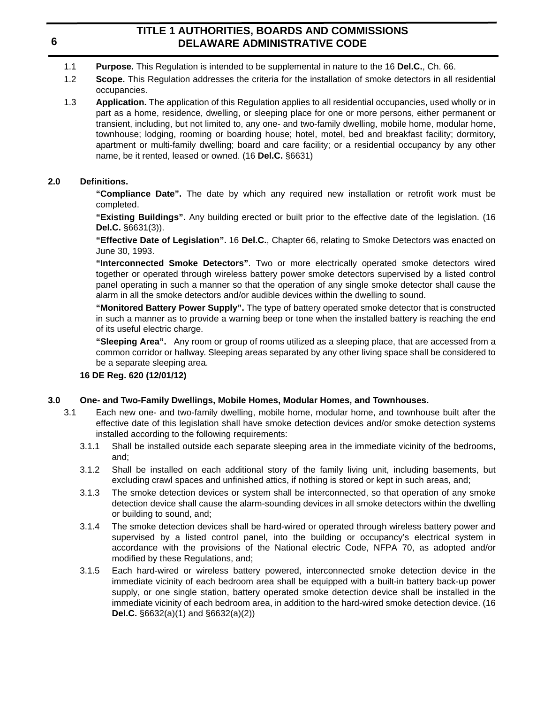- 1.1 **Purpose.** This Regulation is intended to be supplemental in nature to the 16 **Del.C.**, Ch. 66.
- 1.2 **Scope.** This Regulation addresses the criteria for the installation of smoke detectors in all residential occupancies.
- 1.3 **Application.** The application of this Regulation applies to all residential occupancies, used wholly or in part as a home, residence, dwelling, or sleeping place for one or more persons, either permanent or transient, including, but not limited to, any one- and two-family dwelling, mobile home, modular home, townhouse; lodging, rooming or boarding house; hotel, motel, bed and breakfast facility; dormitory, apartment or multi-family dwelling; board and care facility; or a residential occupancy by any other name, be it rented, leased or owned. (16 **Del.C.** §6631)

### **2.0 Definitions.**

**"Compliance Date".** The date by which any required new installation or retrofit work must be completed.

**"Existing Buildings".** Any building erected or built prior to the effective date of the legislation. (16 **Del.C.** §6631(3)).

**"Effective Date of Legislation".** 16 **Del.C.**, Chapter 66, relating to Smoke Detectors was enacted on June 30, 1993.

**"Interconnected Smoke Detectors"**. Two or more electrically operated smoke detectors wired together or operated through wireless battery power smoke detectors supervised by a listed control panel operating in such a manner so that the operation of any single smoke detector shall cause the alarm in all the smoke detectors and/or audible devices within the dwelling to sound.

**"Monitored Battery Power Supply".** The type of battery operated smoke detector that is constructed in such a manner as to provide a warning beep or tone when the installed battery is reaching the end of its useful electric charge.

**"Sleeping Area".** Any room or group of rooms utilized as a sleeping place, that are accessed from a common corridor or hallway. Sleeping areas separated by any other living space shall be considered to be a separate sleeping area.

### **16 DE Reg. 620 (12/01/12)**

### **3.0 One- and Two-Family Dwellings, Mobile Homes, Modular Homes, and Townhouses.**

- 3.1 Each new one- and two-family dwelling, mobile home, modular home, and townhouse built after the effective date of this legislation shall have smoke detection devices and/or smoke detection systems installed according to the following requirements:
	- 3.1.1 Shall be installed outside each separate sleeping area in the immediate vicinity of the bedrooms, and;
	- 3.1.2 Shall be installed on each additional story of the family living unit, including basements, but excluding crawl spaces and unfinished attics, if nothing is stored or kept in such areas, and;
	- 3.1.3 The smoke detection devices or system shall be interconnected, so that operation of any smoke detection device shall cause the alarm-sounding devices in all smoke detectors within the dwelling or building to sound, and;
	- 3.1.4 The smoke detection devices shall be hard-wired or operated through wireless battery power and supervised by a listed control panel, into the building or occupancy's electrical system in accordance with the provisions of the National electric Code, NFPA 70, as adopted and/or modified by these Regulations, and;
	- 3.1.5 Each hard-wired or wireless battery powered, interconnected smoke detection device in the immediate vicinity of each bedroom area shall be equipped with a built-in battery back-up power supply, or one single station, battery operated smoke detection device shall be installed in the immediate vicinity of each bedroom area, in addition to the hard-wired smoke detection device. (16 **Del.C.** §6632(a)(1) and §6632(a)(2))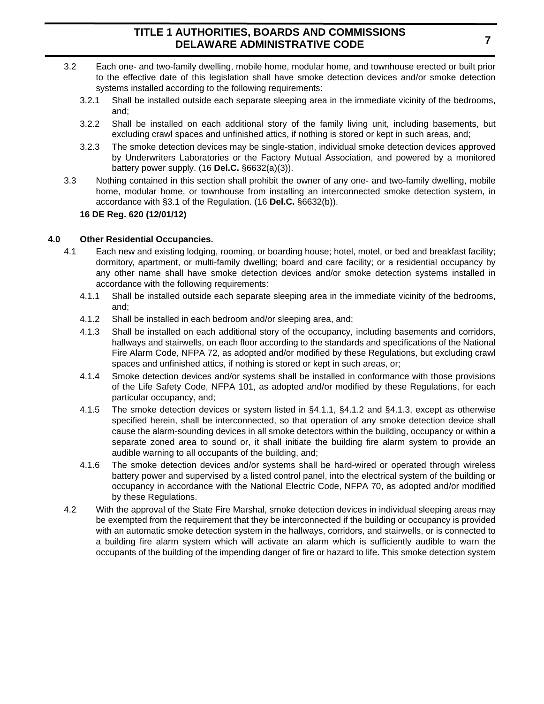- 3.2 Each one- and two-family dwelling, mobile home, modular home, and townhouse erected or built prior to the effective date of this legislation shall have smoke detection devices and/or smoke detection systems installed according to the following requirements:
	- 3.2.1 Shall be installed outside each separate sleeping area in the immediate vicinity of the bedrooms, and;
	- 3.2.2 Shall be installed on each additional story of the family living unit, including basements, but excluding crawl spaces and unfinished attics, if nothing is stored or kept in such areas, and;
	- 3.2.3 The smoke detection devices may be single-station, individual smoke detection devices approved by Underwriters Laboratories or the Factory Mutual Association, and powered by a monitored battery power supply. (16 **Del.C.** §6632(a)(3)).
- 3.3 Nothing contained in this section shall prohibit the owner of any one- and two-family dwelling, mobile home, modular home, or townhouse from installing an interconnected smoke detection system, in accordance with §3.1 of the Regulation. (16 **Del.C.** §6632(b)).

### **16 DE Reg. 620 (12/01/12)**

#### **4.0 Other Residential Occupancies.**

- 4.1 Each new and existing lodging, rooming, or boarding house; hotel, motel, or bed and breakfast facility; dormitory, apartment, or multi-family dwelling; board and care facility; or a residential occupancy by any other name shall have smoke detection devices and/or smoke detection systems installed in accordance with the following requirements:
	- 4.1.1 Shall be installed outside each separate sleeping area in the immediate vicinity of the bedrooms, and;
	- 4.1.2 Shall be installed in each bedroom and/or sleeping area, and;
	- 4.1.3 Shall be installed on each additional story of the occupancy, including basements and corridors, hallways and stairwells, on each floor according to the standards and specifications of the National Fire Alarm Code, NFPA 72, as adopted and/or modified by these Regulations, but excluding crawl spaces and unfinished attics, if nothing is stored or kept in such areas, or;
	- 4.1.4 Smoke detection devices and/or systems shall be installed in conformance with those provisions of the Life Safety Code, NFPA 101, as adopted and/or modified by these Regulations, for each particular occupancy, and;
	- 4.1.5 The smoke detection devices or system listed in §4.1.1, §4.1.2 and §4.1.3, except as otherwise specified herein, shall be interconnected, so that operation of any smoke detection device shall cause the alarm-sounding devices in all smoke detectors within the building, occupancy or within a separate zoned area to sound or, it shall initiate the building fire alarm system to provide an audible warning to all occupants of the building, and;
	- 4.1.6 The smoke detection devices and/or systems shall be hard-wired or operated through wireless battery power and supervised by a listed control panel, into the electrical system of the building or occupancy in accordance with the National Electric Code, NFPA 70, as adopted and/or modified by these Regulations.
- 4.2 With the approval of the State Fire Marshal, smoke detection devices in individual sleeping areas may be exempted from the requirement that they be interconnected if the building or occupancy is provided with an automatic smoke detection system in the hallways, corridors, and stairwells, or is connected to a building fire alarm system which will activate an alarm which is sufficiently audible to warn the occupants of the building of the impending danger of fire or hazard to life. This smoke detection system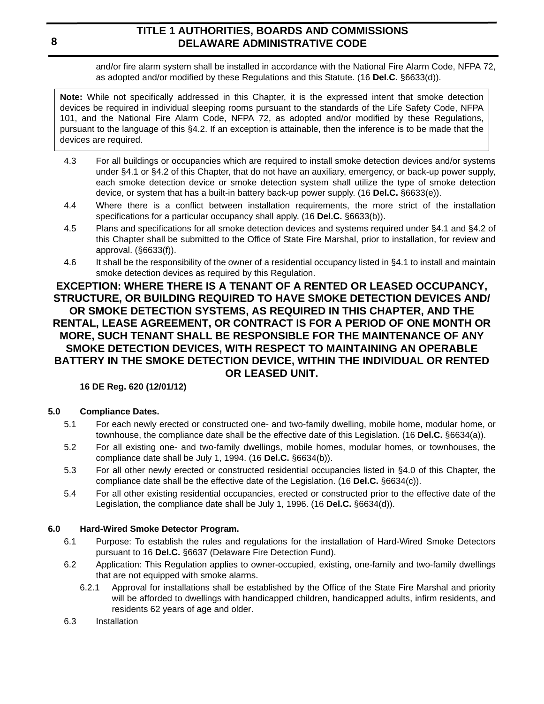and/or fire alarm system shall be installed in accordance with the National Fire Alarm Code, NFPA 72, as adopted and/or modified by these Regulations and this Statute. (16 **Del.C.** §6633(d)).

**Note:** While not specifically addressed in this Chapter, it is the expressed intent that smoke detection devices be required in individual sleeping rooms pursuant to the standards of the Life Safety Code, NFPA 101, and the National Fire Alarm Code, NFPA 72, as adopted and/or modified by these Regulations, pursuant to the language of this §4.2. If an exception is attainable, then the inference is to be made that the devices are required.

- 4.3 For all buildings or occupancies which are required to install smoke detection devices and/or systems under §4.1 or §4.2 of this Chapter, that do not have an auxiliary, emergency, or back-up power supply, each smoke detection device or smoke detection system shall utilize the type of smoke detection device, or system that has a built-in battery back-up power supply. (16 **Del.C.** §6633(e)).
- 4.4 Where there is a conflict between installation requirements, the more strict of the installation specifications for a particular occupancy shall apply. (16 **Del.C.** §6633(b)).
- 4.5 Plans and specifications for all smoke detection devices and systems required under §4.1 and §4.2 of this Chapter shall be submitted to the Office of State Fire Marshal, prior to installation, for review and approval. (§6633(f)).
- 4.6 It shall be the responsibility of the owner of a residential occupancy listed in §4.1 to install and maintain smoke detection devices as required by this Regulation.

## **EXCEPTION: WHERE THERE IS A TENANT OF A RENTED OR LEASED OCCUPANCY, STRUCTURE, OR BUILDING REQUIRED TO HAVE SMOKE DETECTION DEVICES AND/ OR SMOKE DETECTION SYSTEMS, AS REQUIRED IN THIS CHAPTER, AND THE RENTAL, LEASE AGREEMENT, OR CONTRACT IS FOR A PERIOD OF ONE MONTH OR MORE, SUCH TENANT SHALL BE RESPONSIBLE FOR THE MAINTENANCE OF ANY SMOKE DETECTION DEVICES, WITH RESPECT TO MAINTAINING AN OPERABLE BATTERY IN THE SMOKE DETECTION DEVICE, WITHIN THE INDIVIDUAL OR RENTED OR LEASED UNIT.**

## **16 DE Reg. 620 (12/01/12)**

## **5.0 Compliance Dates.**

- 5.1 For each newly erected or constructed one- and two-family dwelling, mobile home, modular home, or townhouse, the compliance date shall be the effective date of this Legislation. (16 **Del.C.** §6634(a)).
- 5.2 For all existing one- and two-family dwellings, mobile homes, modular homes, or townhouses, the compliance date shall be July 1, 1994. (16 **Del.C.** §6634(b)).
- 5.3 For all other newly erected or constructed residential occupancies listed in §4.0 of this Chapter, the compliance date shall be the effective date of the Legislation. (16 **Del.C.** §6634(c)).
- 5.4 For all other existing residential occupancies, erected or constructed prior to the effective date of the Legislation, the compliance date shall be July 1, 1996. (16 **Del.C.** §6634(d)).

## **6.0 Hard-Wired Smoke Detector Program.**

- 6.1 Purpose: To establish the rules and regulations for the installation of Hard-Wired Smoke Detectors pursuant to 16 **Del.C.** §6637 (Delaware Fire Detection Fund).
- 6.2 Application: This Regulation applies to owner-occupied, existing, one-family and two-family dwellings that are not equipped with smoke alarms.
	- 6.2.1 Approval for installations shall be established by the Office of the State Fire Marshal and priority will be afforded to dwellings with handicapped children, handicapped adults, infirm residents, and residents 62 years of age and older.
- 6.3 Installation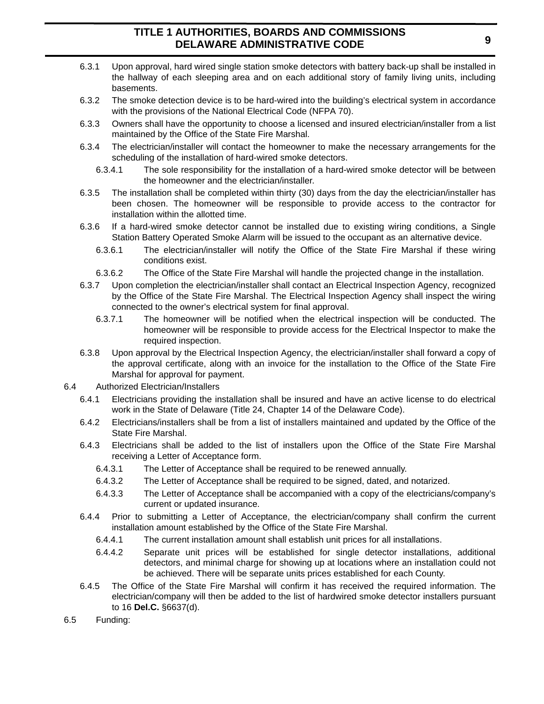- 6.3.1 Upon approval, hard wired single station smoke detectors with battery back-up shall be installed in the hallway of each sleeping area and on each additional story of family living units, including basements.
- 6.3.2 The smoke detection device is to be hard-wired into the building's electrical system in accordance with the provisions of the National Electrical Code (NFPA 70).
- 6.3.3 Owners shall have the opportunity to choose a licensed and insured electrician/installer from a list maintained by the Office of the State Fire Marshal.
- 6.3.4 The electrician/installer will contact the homeowner to make the necessary arrangements for the scheduling of the installation of hard-wired smoke detectors.
	- 6.3.4.1 The sole responsibility for the installation of a hard-wired smoke detector will be between the homeowner and the electrician/installer.
- 6.3.5 The installation shall be completed within thirty (30) days from the day the electrician/installer has been chosen. The homeowner will be responsible to provide access to the contractor for installation within the allotted time.
- 6.3.6 If a hard-wired smoke detector cannot be installed due to existing wiring conditions, a Single Station Battery Operated Smoke Alarm will be issued to the occupant as an alternative device.
	- 6.3.6.1 The electrician/installer will notify the Office of the State Fire Marshal if these wiring conditions exist.
	- 6.3.6.2 The Office of the State Fire Marshal will handle the projected change in the installation.
- 6.3.7 Upon completion the electrician/installer shall contact an Electrical Inspection Agency, recognized by the Office of the State Fire Marshal. The Electrical Inspection Agency shall inspect the wiring connected to the owner's electrical system for final approval.
	- 6.3.7.1 The homeowner will be notified when the electrical inspection will be conducted. The homeowner will be responsible to provide access for the Electrical Inspector to make the required inspection.
- 6.3.8 Upon approval by the Electrical Inspection Agency, the electrician/installer shall forward a copy of the approval certificate, along with an invoice for the installation to the Office of the State Fire Marshal for approval for payment.
- 6.4 Authorized Electrician/Installers
	- 6.4.1 Electricians providing the installation shall be insured and have an active license to do electrical work in the State of Delaware (Title 24, Chapter 14 of the Delaware Code).
	- 6.4.2 Electricians/installers shall be from a list of installers maintained and updated by the Office of the State Fire Marshal.
	- 6.4.3 Electricians shall be added to the list of installers upon the Office of the State Fire Marshal receiving a Letter of Acceptance form.
		- 6.4.3.1 The Letter of Acceptance shall be required to be renewed annually.
		- 6.4.3.2 The Letter of Acceptance shall be required to be signed, dated, and notarized.
		- 6.4.3.3 The Letter of Acceptance shall be accompanied with a copy of the electricians/company's current or updated insurance.
	- 6.4.4 Prior to submitting a Letter of Acceptance, the electrician/company shall confirm the current installation amount established by the Office of the State Fire Marshal.
		- 6.4.4.1 The current installation amount shall establish unit prices for all installations.
		- 6.4.4.2 Separate unit prices will be established for single detector installations, additional detectors, and minimal charge for showing up at locations where an installation could not be achieved. There will be separate units prices established for each County.
	- 6.4.5 The Office of the State Fire Marshal will confirm it has received the required information. The electrician/company will then be added to the list of hardwired smoke detector installers pursuant to 16 **Del.C.** §6637(d).
- 6.5 Funding: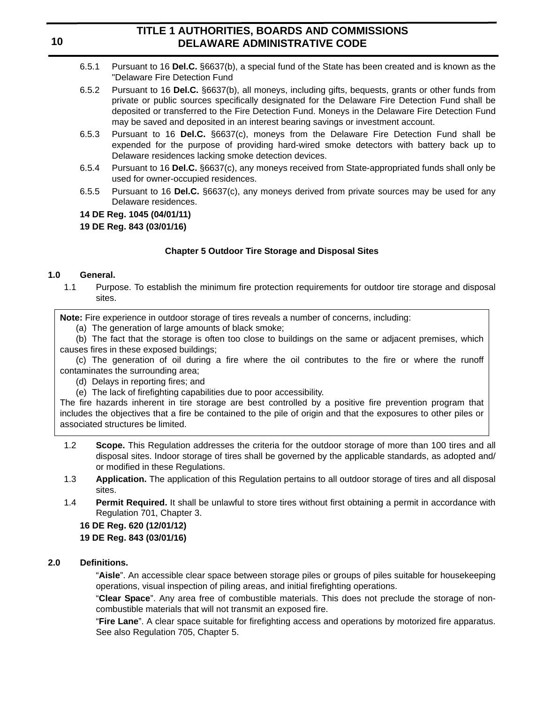- 6.5.1 Pursuant to 16 **Del.C.** §6637(b), a special fund of the State has been created and is known as the "Delaware Fire Detection Fund
- 6.5.2 Pursuant to 16 **Del.C.** §6637(b), all moneys, including gifts, bequests, grants or other funds from private or public sources specifically designated for the Delaware Fire Detection Fund shall be deposited or transferred to the Fire Detection Fund. Moneys in the Delaware Fire Detection Fund may be saved and deposited in an interest bearing savings or investment account.
- 6.5.3 Pursuant to 16 **Del.C.** §6637(c), moneys from the Delaware Fire Detection Fund shall be expended for the purpose of providing hard-wired smoke detectors with battery back up to Delaware residences lacking smoke detection devices.
- 6.5.4 Pursuant to 16 **Del.C.** §6637(c), any moneys received from State-appropriated funds shall only be used for owner-occupied residences.
- 6.5.5 Pursuant to 16 **Del.C.** §6637(c), any moneys derived from private sources may be used for any Delaware residences.

### **14 DE Reg. 1045 (04/01/11)**

### **19 DE Reg. 843 (03/01/16)**

### **Chapter 5 Outdoor Tire Storage and Disposal Sites**

### **1.0 General.**

1.1 Purpose. To establish the minimum fire protection requirements for outdoor tire storage and disposal sites.

**Note:** Fire experience in outdoor storage of tires reveals a number of concerns, including:

(a) The generation of large amounts of black smoke;

(b) The fact that the storage is often too close to buildings on the same or adjacent premises, which causes fires in these exposed buildings;

(c) The generation of oil during a fire where the oil contributes to the fire or where the runoff contaminates the surrounding area;

- (d) Delays in reporting fires; and
- (e) The lack of firefighting capabilities due to poor accessibility.

The fire hazards inherent in tire storage are best controlled by a positive fire prevention program that includes the objectives that a fire be contained to the pile of origin and that the exposures to other piles or associated structures be limited.

- 1.2 **Scope.** This Regulation addresses the criteria for the outdoor storage of more than 100 tires and all disposal sites. Indoor storage of tires shall be governed by the applicable standards, as adopted and/ or modified in these Regulations.
- 1.3 **Application.** The application of this Regulation pertains to all outdoor storage of tires and all disposal sites.
- 1.4 **Permit Required.** It shall be unlawful to store tires without first obtaining a permit in accordance with Regulation 701, Chapter 3.

### **16 DE Reg. 620 (12/01/12)**

### **19 DE Reg. 843 (03/01/16)**

### **2.0 Definitions.**

"**Aisle**". An accessible clear space between storage piles or groups of piles suitable for housekeeping operations, visual inspection of piling areas, and initial firefighting operations.

"**Clear Space**". Any area free of combustible materials. This does not preclude the storage of noncombustible materials that will not transmit an exposed fire.

"**Fire Lane**". A clear space suitable for firefighting access and operations by motorized fire apparatus. See also Regulation 705, Chapter 5.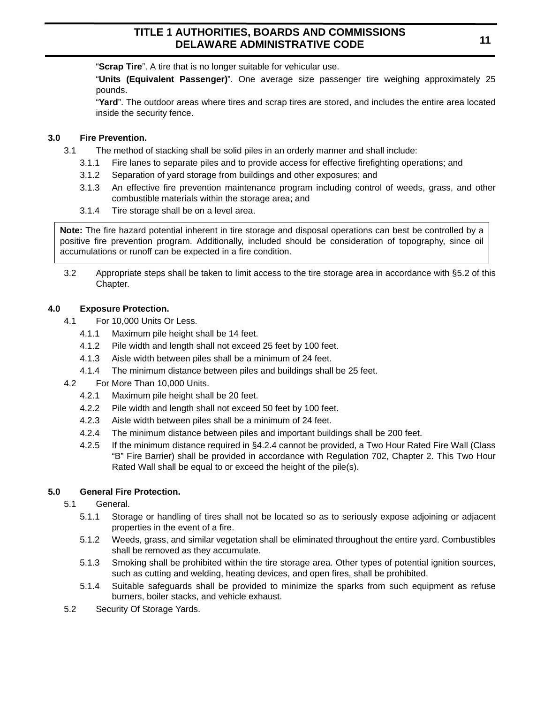"**Scrap Tire**". A tire that is no longer suitable for vehicular use.

"**Units (Equivalent Passenger)**". One average size passenger tire weighing approximately 25 pounds.

"**Yard**". The outdoor areas where tires and scrap tires are stored, and includes the entire area located inside the security fence.

### **3.0 Fire Prevention.**

- 3.1 The method of stacking shall be solid piles in an orderly manner and shall include:
	- 3.1.1 Fire lanes to separate piles and to provide access for effective firefighting operations; and
	- 3.1.2 Separation of yard storage from buildings and other exposures; and
	- 3.1.3 An effective fire prevention maintenance program including control of weeds, grass, and other combustible materials within the storage area; and
	- 3.1.4 Tire storage shall be on a level area.

**Note:** The fire hazard potential inherent in tire storage and disposal operations can best be controlled by a positive fire prevention program. Additionally, included should be consideration of topography, since oil accumulations or runoff can be expected in a fire condition.

3.2 Appropriate steps shall be taken to limit access to the tire storage area in accordance with §5.2 of this Chapter.

## **4.0 Exposure Protection.**

- 4.1 For 10,000 Units Or Less.
	- 4.1.1 Maximum pile height shall be 14 feet.
	- 4.1.2 Pile width and length shall not exceed 25 feet by 100 feet.
	- 4.1.3 Aisle width between piles shall be a minimum of 24 feet.
	- 4.1.4 The minimum distance between piles and buildings shall be 25 feet.
- 4.2 For More Than 10,000 Units.
	- 4.2.1 Maximum pile height shall be 20 feet.
	- 4.2.2 Pile width and length shall not exceed 50 feet by 100 feet.
	- 4.2.3 Aisle width between piles shall be a minimum of 24 feet.
	- 4.2.4 The minimum distance between piles and important buildings shall be 200 feet.
	- 4.2.5 If the minimum distance required in §4.2.4 cannot be provided, a Two Hour Rated Fire Wall (Class "B" Fire Barrier) shall be provided in accordance with Regulation 702, Chapter 2. This Two Hour Rated Wall shall be equal to or exceed the height of the pile(s).

## **5.0 General Fire Protection.**

- 5.1 General.
	- 5.1.1 Storage or handling of tires shall not be located so as to seriously expose adjoining or adjacent properties in the event of a fire.
	- 5.1.2 Weeds, grass, and similar vegetation shall be eliminated throughout the entire yard. Combustibles shall be removed as they accumulate.
	- 5.1.3 Smoking shall be prohibited within the tire storage area. Other types of potential ignition sources, such as cutting and welding, heating devices, and open fires, shall be prohibited.
	- 5.1.4 Suitable safeguards shall be provided to minimize the sparks from such equipment as refuse burners, boiler stacks, and vehicle exhaust.
- 5.2 Security Of Storage Yards.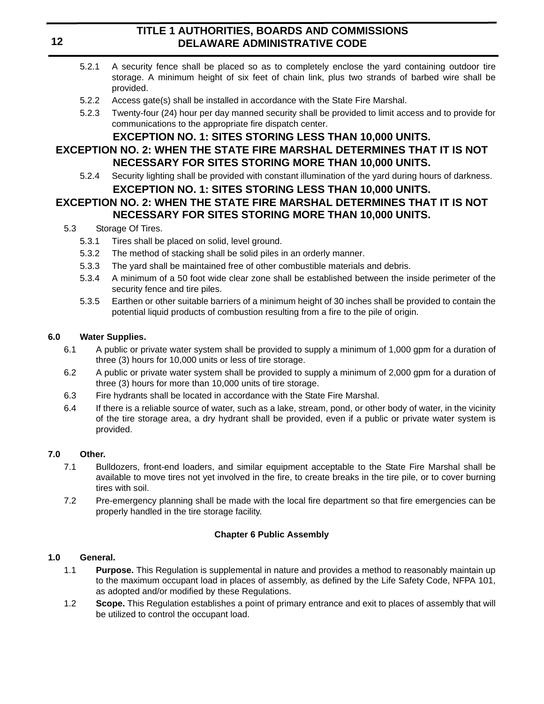- 5.2.1 A security fence shall be placed so as to completely enclose the yard containing outdoor tire storage. A minimum height of six feet of chain link, plus two strands of barbed wire shall be provided.
- 5.2.2 Access gate(s) shall be installed in accordance with the State Fire Marshal.
- 5.2.3 Twenty-four (24) hour per day manned security shall be provided to limit access and to provide for communications to the appropriate fire dispatch center.

## **EXCEPTION NO. 1: SITES STORING LESS THAN 10,000 UNITS.**

## **EXCEPTION NO. 2: WHEN THE STATE FIRE MARSHAL DETERMINES THAT IT IS NOT NECESSARY FOR SITES STORING MORE THAN 10,000 UNITS.**

5.2.4 Security lighting shall be provided with constant illumination of the yard during hours of darkness. **EXCEPTION NO. 1: SITES STORING LESS THAN 10,000 UNITS.**

# **EXCEPTION NO. 2: WHEN THE STATE FIRE MARSHAL DETERMINES THAT IT IS NOT NECESSARY FOR SITES STORING MORE THAN 10,000 UNITS.**

- 5.3 Storage Of Tires.
	- 5.3.1 Tires shall be placed on solid, level ground.
	- 5.3.2 The method of stacking shall be solid piles in an orderly manner.
	- 5.3.3 The yard shall be maintained free of other combustible materials and debris.
	- 5.3.4 A minimum of a 50 foot wide clear zone shall be established between the inside perimeter of the security fence and tire piles.
	- 5.3.5 Earthen or other suitable barriers of a minimum height of 30 inches shall be provided to contain the potential liquid products of combustion resulting from a fire to the pile of origin.

### **6.0 Water Supplies.**

- 6.1 A public or private water system shall be provided to supply a minimum of 1,000 gpm for a duration of three (3) hours for 10,000 units or less of tire storage.
- 6.2 A public or private water system shall be provided to supply a minimum of 2,000 gpm for a duration of three (3) hours for more than 10,000 units of tire storage.
- 6.3 Fire hydrants shall be located in accordance with the State Fire Marshal.
- 6.4 If there is a reliable source of water, such as a lake, stream, pond, or other body of water, in the vicinity of the tire storage area, a dry hydrant shall be provided, even if a public or private water system is provided.

### **7.0 Other.**

- 7.1 Bulldozers, front-end loaders, and similar equipment acceptable to the State Fire Marshal shall be available to move tires not yet involved in the fire, to create breaks in the tire pile, or to cover burning tires with soil.
- 7.2 Pre-emergency planning shall be made with the local fire department so that fire emergencies can be properly handled in the tire storage facility.

### **Chapter 6 Public Assembly**

### **1.0 General.**

- 1.1 **Purpose.** This Regulation is supplemental in nature and provides a method to reasonably maintain up to the maximum occupant load in places of assembly, as defined by the Life Safety Code, NFPA 101, as adopted and/or modified by these Regulations.
- 1.2 **Scope.** This Regulation establishes a point of primary entrance and exit to places of assembly that will be utilized to control the occupant load.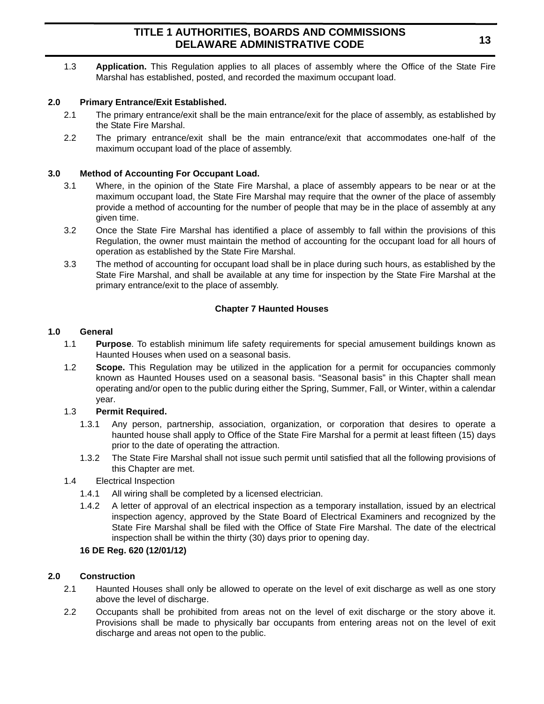1.3 **Application.** This Regulation applies to all places of assembly where the Office of the State Fire Marshal has established, posted, and recorded the maximum occupant load.

### **2.0 Primary Entrance/Exit Established.**

- 2.1 The primary entrance/exit shall be the main entrance/exit for the place of assembly, as established by the State Fire Marshal.
- 2.2 The primary entrance/exit shall be the main entrance/exit that accommodates one-half of the maximum occupant load of the place of assembly.

### **3.0 Method of Accounting For Occupant Load.**

- 3.1 Where, in the opinion of the State Fire Marshal, a place of assembly appears to be near or at the maximum occupant load, the State Fire Marshal may require that the owner of the place of assembly provide a method of accounting for the number of people that may be in the place of assembly at any given time.
- 3.2 Once the State Fire Marshal has identified a place of assembly to fall within the provisions of this Regulation, the owner must maintain the method of accounting for the occupant load for all hours of operation as established by the State Fire Marshal.
- 3.3 The method of accounting for occupant load shall be in place during such hours, as established by the State Fire Marshal, and shall be available at any time for inspection by the State Fire Marshal at the primary entrance/exit to the place of assembly.

### **Chapter 7 Haunted Houses**

### **1.0 General**

- 1.1 **Purpose**. To establish minimum life safety requirements for special amusement buildings known as Haunted Houses when used on a seasonal basis.
- 1.2 **Scope.** This Regulation may be utilized in the application for a permit for occupancies commonly known as Haunted Houses used on a seasonal basis. "Seasonal basis" in this Chapter shall mean operating and/or open to the public during either the Spring, Summer, Fall, or Winter, within a calendar year.

### 1.3 **Permit Required.**

- 1.3.1 Any person, partnership, association, organization, or corporation that desires to operate a haunted house shall apply to Office of the State Fire Marshal for a permit at least fifteen (15) days prior to the date of operating the attraction.
- 1.3.2 The State Fire Marshal shall not issue such permit until satisfied that all the following provisions of this Chapter are met.
- 1.4 Electrical Inspection
	- 1.4.1 All wiring shall be completed by a licensed electrician.
	- 1.4.2 A letter of approval of an electrical inspection as a temporary installation, issued by an electrical inspection agency, approved by the State Board of Electrical Examiners and recognized by the State Fire Marshal shall be filed with the Office of State Fire Marshal. The date of the electrical inspection shall be within the thirty (30) days prior to opening day.

### **16 DE Reg. 620 (12/01/12)**

### **2.0 Construction**

- 2.1 Haunted Houses shall only be allowed to operate on the level of exit discharge as well as one story above the level of discharge.
- 2.2 Occupants shall be prohibited from areas not on the level of exit discharge or the story above it. Provisions shall be made to physically bar occupants from entering areas not on the level of exit discharge and areas not open to the public.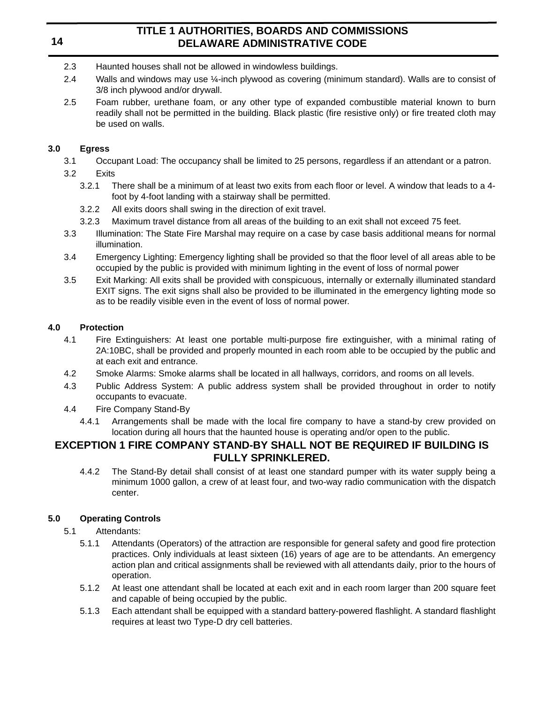- 2.3 Haunted houses shall not be allowed in windowless buildings.
- 2.4 Walls and windows may use ¼-inch plywood as covering (minimum standard). Walls are to consist of 3/8 inch plywood and/or drywall.
- 2.5 Foam rubber, urethane foam, or any other type of expanded combustible material known to burn readily shall not be permitted in the building. Black plastic (fire resistive only) or fire treated cloth may be used on walls.

### **3.0 Egress**

- 3.1 Occupant Load: The occupancy shall be limited to 25 persons, regardless if an attendant or a patron.
- 3.2 Exits
	- 3.2.1 There shall be a minimum of at least two exits from each floor or level. A window that leads to a 4 foot by 4-foot landing with a stairway shall be permitted.
	- 3.2.2 All exits doors shall swing in the direction of exit travel.
	- 3.2.3 Maximum travel distance from all areas of the building to an exit shall not exceed 75 feet.
- 3.3 Illumination: The State Fire Marshal may require on a case by case basis additional means for normal illumination.
- 3.4 Emergency Lighting: Emergency lighting shall be provided so that the floor level of all areas able to be occupied by the public is provided with minimum lighting in the event of loss of normal power
- 3.5 Exit Marking: All exits shall be provided with conspicuous, internally or externally illuminated standard EXIT signs. The exit signs shall also be provided to be illuminated in the emergency lighting mode so as to be readily visible even in the event of loss of normal power.

## **4.0 Protection**

- 4.1 Fire Extinguishers: At least one portable multi-purpose fire extinguisher, with a minimal rating of 2A:10BC, shall be provided and properly mounted in each room able to be occupied by the public and at each exit and entrance.
- 4.2 Smoke Alarms: Smoke alarms shall be located in all hallways, corridors, and rooms on all levels.
- 4.3 Public Address System: A public address system shall be provided throughout in order to notify occupants to evacuate.
- 4.4 Fire Company Stand-By
	- 4.4.1 Arrangements shall be made with the local fire company to have a stand-by crew provided on location during all hours that the haunted house is operating and/or open to the public.

## **EXCEPTION 1 FIRE COMPANY STAND-BY SHALL NOT BE REQUIRED IF BUILDING IS FULLY SPRINKLERED.**

4.4.2 The Stand-By detail shall consist of at least one standard pumper with its water supply being a minimum 1000 gallon, a crew of at least four, and two-way radio communication with the dispatch center.

## **5.0 Operating Controls**

- 5.1 Attendants:
	- 5.1.1 Attendants (Operators) of the attraction are responsible for general safety and good fire protection practices. Only individuals at least sixteen (16) years of age are to be attendants. An emergency action plan and critical assignments shall be reviewed with all attendants daily, prior to the hours of operation.
	- 5.1.2 At least one attendant shall be located at each exit and in each room larger than 200 square feet and capable of being occupied by the public.
	- 5.1.3 Each attendant shall be equipped with a standard battery-powered flashlight. A standard flashlight requires at least two Type-D dry cell batteries.